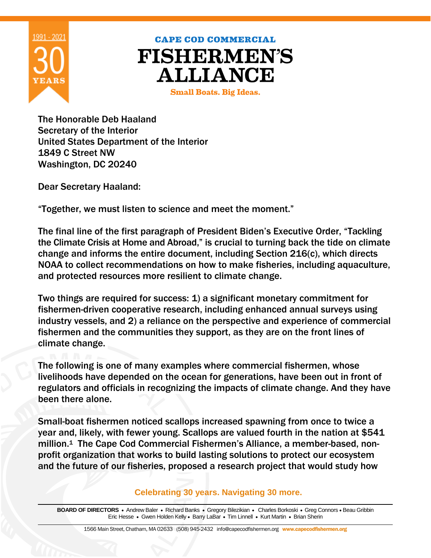

## **CAPE COD COMMERCIAL FISHERMEN'S ALLIANCE**

**Small Boats. Big Ideas.** 

The Honorable Deb Haaland Secretary of the Interior United States Department of the Interior 1849 C Street NW Washington, DC 20240

Dear Secretary Haaland:

"Together, we must listen to science and meet the moment."

The final line of the first paragraph of President Biden's Executive Order, "Tackling the Climate Crisis at Home and Abroad," is crucial to turning back the tide on climate change and informs the entire document, including Section 216(c), which directs NOAA to collect recommendations on how to make fisheries, including aquaculture, and protected resources more resilient to climate change.

Two things are required for success: 1) a significant monetary commitment for fishermen-driven cooperative research, including enhanced annual surveys using industry vessels, and 2) a reliance on the perspective and experience of commercial fishermen and the communities they support, as they are on the front lines of climate change.

The following is one of many examples where commercial fishermen, whose livelihoods have depended on the ocean for generations, have been out in front of regulators and officials in recognizing the impacts of climate change. And they have been there alone.

Small-boat fishermen noticed scallops increased spawning from once to twice a year and, likely, with fewer young. Scallops are valued fourth in the nation at \$541 million. <sup>1</sup> The Cape Cod Commercial Fishermen's Alliance, a member-based, nonprofit organization that works to build lasting solutions to protect our ecosystem and the future of our fisheries, proposed a research project that would study how

**Celebrating 30 years. Navigating 30 more.** 

BOARD OF DIRECTORS . Andrew Baler . Richard Banks . Gregory Bilezikian . Charles Borkoski . Greg Connors . Beau Gribbin Eric Hesse • Gwen Holden Kelly • Barry LaBar • Tim Linnell • Kurt Martin • Brian Sherin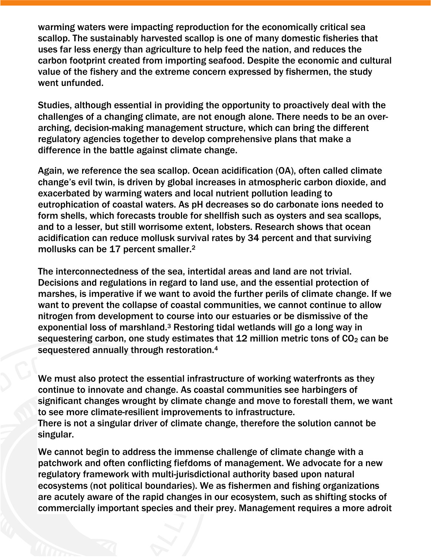warming waters were impacting reproduction for the economically critical sea scallop. The sustainably harvested scallop is one of many domestic fisheries that uses far less energy than agriculture to help feed the nation, and reduces the carbon footprint created from importing seafood. Despite the economic and cultural value of the fishery and the extreme concern expressed by fishermen, the study went unfunded.

Studies, although essential in providing the opportunity to proactively deal with the challenges of a changing climate, are not enough alone. There needs to be an overarching, decision-making management structure, which can bring the different regulatory agencies together to develop comprehensive plans that make a difference in the battle against climate change.

Again, we reference the sea scallop. Ocean acidification (OA), often called climate change's evil twin, is driven by global increases in atmospheric carbon dioxide, and exacerbated by warming waters and local nutrient pollution leading to eutrophication of coastal waters. As pH decreases so do carbonate ions needed to form shells, which forecasts trouble for shellfish such as oysters and sea scallops, and to a lesser, but still worrisome extent, lobsters. Research shows that ocean acidification can reduce mollusk survival rates by 34 percent and that surviving mollusks can be 17 percent smaller.<sup>2</sup>

The interconnectedness of the sea, intertidal areas and land are not trivial. Decisions and regulations in regard to land use, and the essential protection of marshes, is imperative if we want to avoid the further perils of climate change. If we want to prevent the collapse of coastal communities, we cannot continue to allow nitrogen from development to course into our estuaries or be dismissive of the exponential loss of marshland.<sup>3</sup> Restoring tidal wetlands will go a long way in sequestering carbon, one study estimates that  $12$  million metric tons of  $CO<sub>2</sub>$  can be sequestered annually through restoration.<sup>4</sup>

We must also protect the essential infrastructure of working waterfronts as they continue to innovate and change. As coastal communities see harbingers of significant changes wrought by climate change and move to forestall them, we want to see more climate-resilient improvements to infrastructure. There is not a singular driver of climate change, therefore the solution cannot be singular.

We cannot begin to address the immense challenge of climate change with a patchwork and often conflicting fiefdoms of management. We advocate for a new regulatory framework with multi-jurisdictional authority based upon natural ecosystems (not political boundaries). We as fishermen and fishing organizations are acutely aware of the rapid changes in our ecosystem, such as shifting stocks of commercially important species and their prey. Management requires a more adroit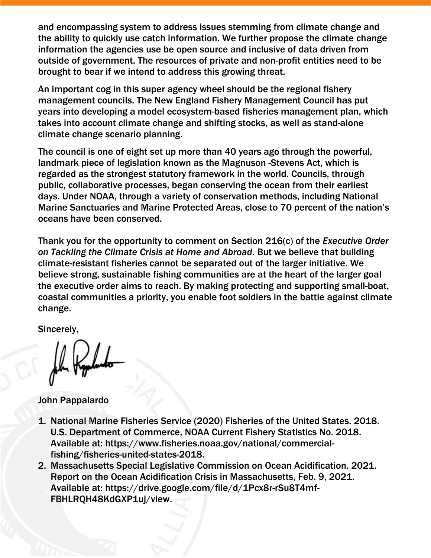and encompassing system to address issues stemming from climate change and the ability to quickly use catch information. We further propose the climate change information the agencies use be open source and inclusive of data driven from outside of government. The resources of private and non-profit entities need to be brought to bear if we intend to address this growing threat.

An important cog in this super agency wheel should be the regional fishery management councils. The New England Fishery Management Council has put years into developing a model ecosystem-based fisheries management plan, which takes into account climate change and shifting stocks, as well as stand-alone climate change scenario planning.

The council is one of eight set up more than 40 years ago through the powerful, landmark piece of legislation known as the Magnuson -Stevens Act, which is regarded as the strongest statutory framework in the world. Councils, through public, collaborative processes, began conserving the ocean from their earliest days. Under NOAA, through a variety of conservation methods, including National Marine Sanctuaries and Marine Protected Areas, close to 70 percent of the nation's oceans have been conserved.

Thank you for the opportunity to comment on Section 216(c) of the *[Executive Order](https://www.whitehouse.gov/briefing-room/presidential-actions/2021/01/27/executive-order-on-tackling-the-climate-crisis-at-home-and-abroad/)  [on](https://www.whitehouse.gov/briefing-room/presidential-actions/2021/01/27/executive-order-on-tackling-the-climate-crisis-at-home-and-abroad/) [Tackling the Climate Crisis at Home and Abroad](https://www.whitehouse.gov/briefing-room/presidential-actions/2021/01/27/executive-order-on-tackling-the-climate-crisis-at-home-and-abroad/)*. But we believe that building climate-resistant fisheries cannot be separated out of the larger initiative. We believe strong, sustainable fishing communities are at the heart of the larger goal the executive order aims to reach. By making protecting and supporting small-boat, coastal communities a priority, you enable foot soldiers in the battle against climate change.

Sincerely,

John Pappalardo

- 1. National Marine Fisheries Service (2020) Fisheries of the United States. 2018. U.S. Department of Commerce, NOAA Current Fishery Statistics No. 2018. Available at: https://www.fisheries.noaa.gov/national/commercialfishing/fisheries-united-states-2018.
- 2. Massachusetts Special Legislative Commission on Ocean Acidification. 2021. Report on the Ocean Acidification Crisis in Massachusetts, Feb. 9, 2021. Available at: https://drive.google.com/file/d/1Pcx8r-rSu8T4mf-FBHLRQH48KdGXP1uj/view.